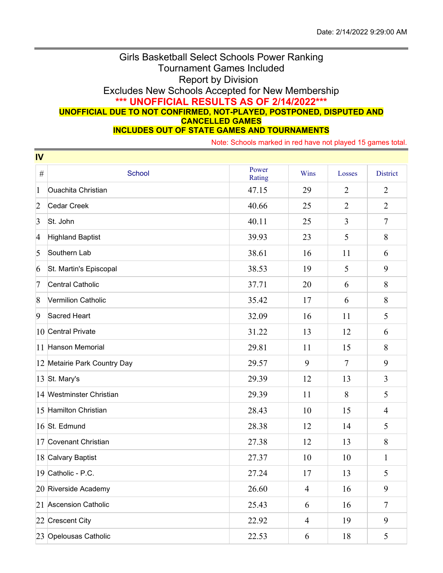## Girls Basketball Select Schools Power Ranking Tournament Games Included Report by Division Excludes New Schools Accepted for New Membership **\*\*\* UNOFFICIAL RESULTS AS OF 2/14/2022\*\*\* UNOFFICIAL DUE TO NOT CONFIRMED, NOT-PLAYED, POSTPONED, DISPUTED AND CANCELLED GAMES INCLUDES OUT OF STATE GAMES AND TOURNAMENTS**

Note: Schools marked in red have not played 15 games total.

| IV              |                              |                 |                |                |                 |  |  |  |
|-----------------|------------------------------|-----------------|----------------|----------------|-----------------|--|--|--|
| $\#$            | <b>School</b>                | Power<br>Rating | Wins           | Losses         | <b>District</b> |  |  |  |
| $\mathbf{1}$    | <b>Ouachita Christian</b>    | 47.15           | 29             | $\overline{2}$ | $\overline{2}$  |  |  |  |
| $\overline{2}$  | <b>Cedar Creek</b>           | 40.66           | 25             | $\overline{2}$ | $\overline{2}$  |  |  |  |
| $\vert 3 \vert$ | St. John                     | 40.11           | 25             | 3              | $\tau$          |  |  |  |
| $\overline{4}$  | <b>Highland Baptist</b>      | 39.93           | 23             | 5              | 8               |  |  |  |
| 5               | Southern Lab                 | 38.61           | 16             | 11             | 6               |  |  |  |
| 6               | St. Martin's Episcopal       | 38.53           | 19             | 5              | 9               |  |  |  |
| 7               | <b>Central Catholic</b>      | 37.71           | 20             | 6              | 8               |  |  |  |
| $\vert 8$       | Vermilion Catholic           | 35.42           | 17             | 6              | 8               |  |  |  |
| 9               | Sacred Heart                 | 32.09           | 16             | 11             | 5               |  |  |  |
|                 | 10 Central Private           | 31.22           | 13             | 12             | 6               |  |  |  |
|                 | 11 Hanson Memorial           | 29.81           | 11             | 15             | 8               |  |  |  |
|                 | 12 Metairie Park Country Day | 29.57           | 9              | $\tau$         | 9               |  |  |  |
|                 | 13 St. Mary's                | 29.39           | 12             | 13             | 3               |  |  |  |
|                 | 14 Westminster Christian     | 29.39           | 11             | 8              | 5               |  |  |  |
|                 | 15 Hamilton Christian        | 28.43           | 10             | 15             | $\overline{4}$  |  |  |  |
|                 | 16 St. Edmund                | 28.38           | 12             | 14             | 5               |  |  |  |
|                 | 17 Covenant Christian        | 27.38           | 12             | 13             | 8               |  |  |  |
|                 | 18 Calvary Baptist           | 27.37           | 10             | 10             | $\mathbf{1}$    |  |  |  |
|                 | 19 Catholic - P.C.           | 27.24           | 17             | 13             | 5               |  |  |  |
|                 | 20 Riverside Academy         | 26.60           | $\overline{4}$ | 16             | 9               |  |  |  |
|                 | 21 Ascension Catholic        | 25.43           | 6              | 16             | $\tau$          |  |  |  |
|                 | 22 Crescent City             | 22.92           | $\overline{4}$ | 19             | 9               |  |  |  |
|                 | 23 Opelousas Catholic        | 22.53           | 6              | 18             | $\mathfrak{S}$  |  |  |  |